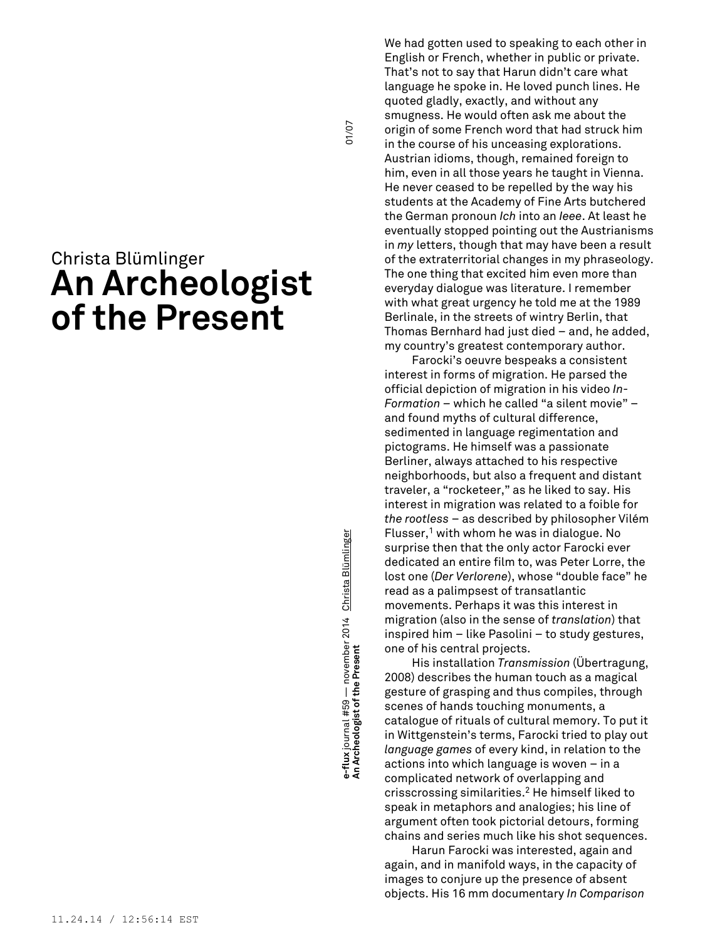# Christa Blümlinger **An Archeologist of the Present**

**An Archeologist of the Present** 01/07 **e-flux** journal #59 — november 2014 Christa Blümlinger e-flux journal #59 — november 2014 <u>Christa Blümlinger</u><br>An Archeologist of the Present

01/07

We had gotten used to speaking to each other in English or French, whether in public or private. That's not to say that Harun didn't care what language he spoke in. He loved punch lines. He quoted gladly, exactly, and without any smugness. He would often ask me about the origin of some French word that had struck him in the course of his unceasing explorations. Austrian idioms, though, remained foreign to him, even in all those years he taught in Vienna. He never ceased to be repelled by the way his students at the Academy of Fine Arts butchered the German pronoun *Ich* into an *Ieee*. At least he eventually stopped pointing out the Austrianisms in *my* letters, though that may have been a result of the extraterritorial changes in my phraseology. The one thing that excited him even more than everyday dialogue was literature. I remember with what great urgency he told me at the 1989 Berlinale, in the streets of wintry Berlin, that Thomas Bernhard had just died – and, he added, my country's greatest contemporary author.

Farocki's oeuvre bespeaks a consistent interest in forms of migration. He parsed the official depiction of migration in his video *In-Formation –* which he called "a silent movie" – and found myths of cultural difference, sedimented in language regimentation and pictograms. He himself was a passionate Berliner, always attached to his respective neighborhoods, but also a frequent and distant traveler, a "rocketeer," as he liked to say. His interest in migration was related to a foible for *the rootless* – as described by philosopher Vilém Flusser, <sup>1</sup> with whom he was in dialogue. No surprise then that the only actor Farocki ever dedicated an entire film to, was Peter Lorre, the lost one (*Der Verlorene*), whose "double face" he read as a palimpsest of transatlantic movements. Perhaps it was this interest in migration (also in the sense of *translation*) that inspired him – like Pasolini – to study gestures, one of his central projects.

His installation *Transmission* (Übertragung, 2008) describes the human touch as a magical gesture of grasping and thus compiles, through scenes of hands touching monuments, a catalogue of rituals of cultural memory. To put it in Wittgenstein's terms, Farocki tried to play out *language games* of every kind, in relation to the actions into which language is woven – in a complicated network of overlapping and crisscrossing similarities. <sup>2</sup> He himself liked to speak in metaphors and analogies; his line of argument often took pictorial detours, forming chains and series much like his shot sequences.

Harun Farocki was interested, again and again, and in manifold ways, in the capacity of images to conjure up the presence of absent objects. His 16 mm documentary *In Comparison*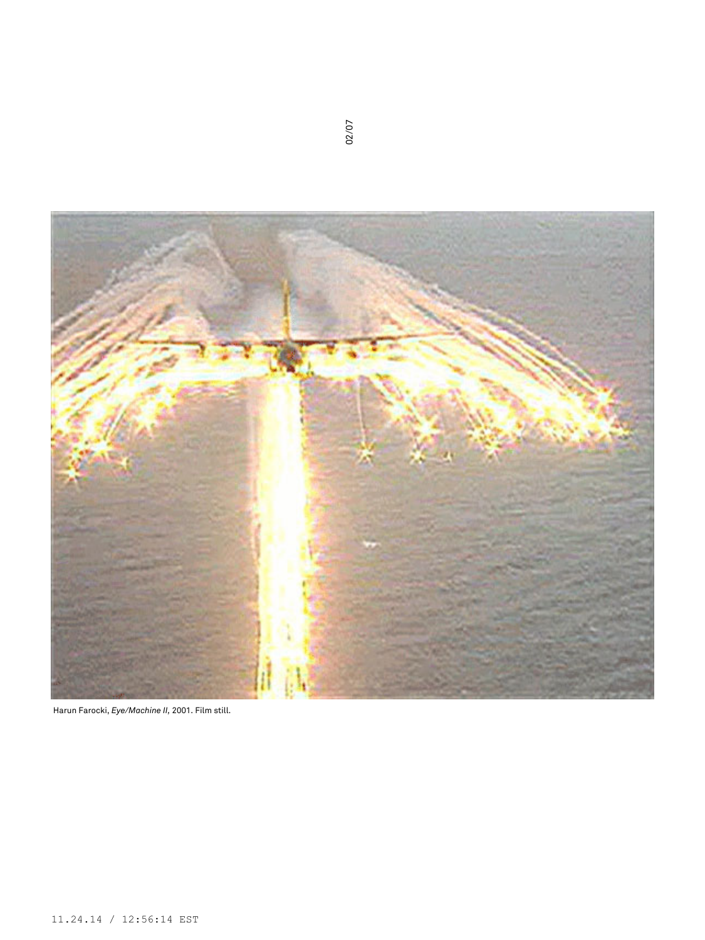

Harun Farocki, *Eye/Machine II,* 2001. Film still.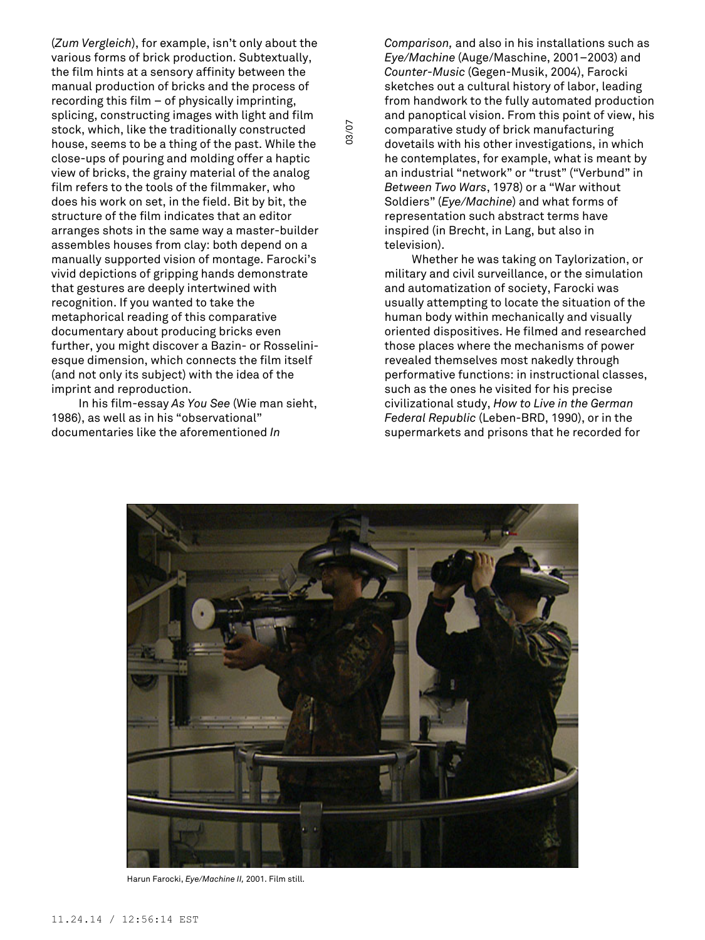(*Zum Vergleich*), for example, isn't only about the various forms of brick production. Subtextually, the film hints at a sensory affinity between the manual production of bricks and the process of recording this film – of physically imprinting, splicing, constructing images with light and film stock, which, like the traditionally constructed house, seems to be a thing of the past. While the close-ups of pouring and molding offer a haptic view of bricks, the grainy material of the analog film refers to the tools of the filmmaker, who does his work on set, in the field. Bit by bit, the structure of the film indicates that an editor arranges shots in the same way a master-builder assembles houses from clay: both depend on a manually supported vision of montage. Farocki's vivid depictions of gripping hands demonstrate that gestures are deeply intertwined with recognition. If you wanted to take the metaphorical reading of this comparative documentary about producing bricks even further, you might discover a Bazin- or Rosseliniesque dimension, which connects the film itself (and not only its subject) with the idea of the imprint and reproduction.

In his film-essay *As You See* (Wie man sieht, 1986), as well as in his "observational" documentaries like the aforementioned *In*

*Comparison,* and also in his installations such as *Eye/Machine* (Auge/Maschine, 2001–2003) and *Counter-Music* (Gegen-Musik, 2004), Farocki sketches out a cultural history of labor, leading from handwork to the fully automated production and panoptical vision. From this point of view, his comparative study of brick manufacturing dovetails with his other investigations, in which he contemplates, for example, what is meant by an industrial "network" or "trust" ("Verbund" in *Between Two Wars*, 1978) or a "War without Soldiers" (*Eye/Machine*) and what forms of representation such abstract terms have inspired (in Brecht, in Lang, but also in television).

Whether he was taking on Taylorization, or military and civil surveillance, or the simulation and automatization of society, Farocki was usually attempting to locate the situation of the human body within mechanically and visually oriented dispositives. He filmed and researched those places where the mechanisms of power revealed themselves most nakedly through performative functions: in instructional classes, such as the ones he visited for his precise civilizational study, *How to Live in the German Federal Republic* (Leben-BRD, 1990), or in the supermarkets and prisons that he recorded for



03/07

Harun Farocki, *Eye/Machine II,* 2001. Film still.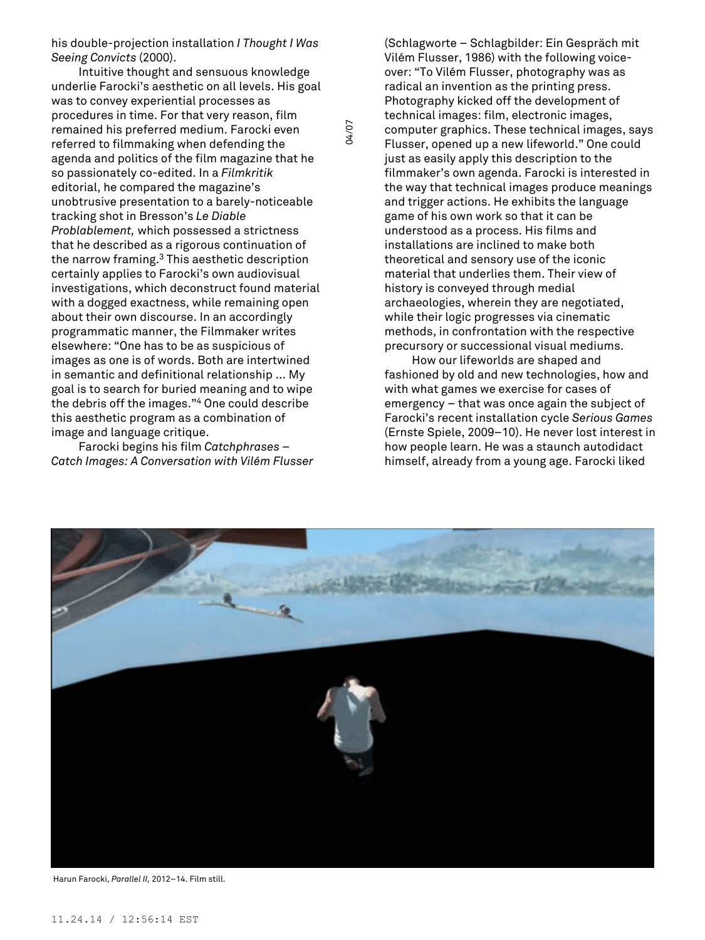his double-projection installation *I Thought I Was Seeing Convicts* (2000).

Intuitive thought and sensuous knowledge underlie Farocki's aesthetic on all levels. His goal was to convey experiential processes as procedures in time. For that very reason, film remained his preferred medium. Farocki even referred to filmmaking when defending the agenda and politics of the film magazine that he so passionately co-edited. In a *Filmkritik* editorial, he compared the magazine's unobtrusive presentation to a barely-noticeable tracking shot in Bresson's *Le Diable Problablement,* which possessed a strictness that he described as a rigorous continuation of the narrow framing. <sup>3</sup> This aesthetic description certainly applies to Farocki's own audiovisual investigations, which deconstruct found material with a dogged exactness, while remaining open about their own discourse. In an accordingly programmatic manner, the Filmmaker writes elsewhere: "One has to be as suspicious of images as one is of words. Both are intertwined in semantic and definitional relationship ... My goal is to search for buried meaning and to wipe the debris off the images." <sup>4</sup> One could describe this aesthetic program as a combination of image and language critique.

Farocki begins his film *Catchphrases – Catch Images: A Conversation with Vilém Flusser*

(Schlagworte – Schlagbilder: Ein Gespräch mit Vilém Flusser, 1986) with the following voiceover: "To Vilém Flusser, photography was as radical an invention as the printing press. Photography kicked off the development of technical images: film, electronic images, computer graphics. These technical images, says Flusser, opened up a new lifeworld." One could just as easily apply this description to the filmmaker's own agenda. Farocki is interested in the way that technical images produce meanings and trigger actions. He exhibits the language game of his own work so that it can be understood as a process. His films and installations are inclined to make both theoretical and sensory use of the iconic material that underlies them. Their view of history is conveyed through medial archaeologies, wherein they are negotiated, while their logic progresses via cinematic methods, in confrontation with the respective precursory or successional visual mediums.

How our lifeworlds are shaped and fashioned by old and new technologies, how and with what games we exercise for cases of emergency – that was once again the subject of Farocki's recent installation cycle *Serious Games* (Ernste Spiele, 2009–10). He never lost interest in how people learn. He was a staunch autodidact himself, already from a young age. Farocki liked



04/07

Harun Farocki, *Parallel II,* 2012–14. Film still.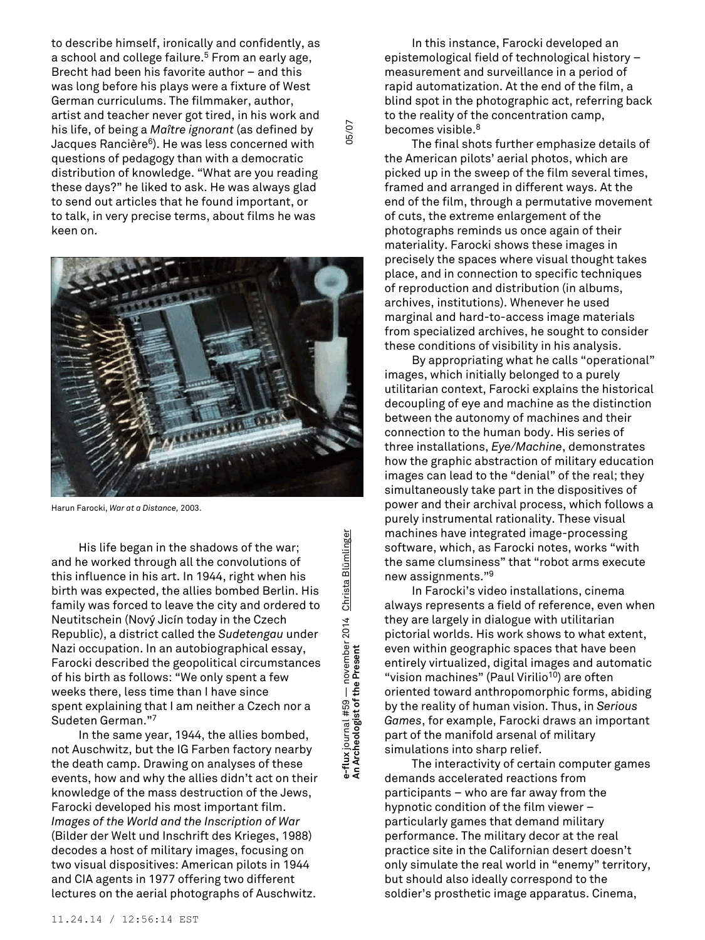to describe himself, ironically and confidently, as a school and college failure. <sup>5</sup> From an early age, Brecht had been his favorite author – and this was long before his plays were a fixture of West German curriculums. The filmmaker, author, artist and teacher never got tired, in his work and his life, of being a *Maître ignorant* (as defined by Jacques Rancière <sup>6</sup>). He was less concerned with questions of pedagogy than with a democratic distribution of knowledge. "What are you reading these days?" he liked to ask. He was always glad to send out articles that he found important, or to talk, in very precise terms, about films he was keen on.



Harun Farocki, *War at a Distance,* 2003.

His life began in the shadows of the war; and he worked through all the convolutions of this influence in his art. In 1944, right when his birth was expected, the allies bombed Berlin. His family was forced to leave the city and ordered to Neutitschein (Nový Jicín today in the Czech Republic), a district called the *Sudetengau* under Nazi occupation. In an autobiographical essay, Farocki described the geopolitical circumstances of his birth as follows: "We only spent a few weeks there, less time than I have since spent explaining that I am neither a Czech nor a Sudeten German." 7

In the same year, 1944, the allies bombed, not Auschwitz, but the IG Farben factory nearby the death camp. Drawing on analyses of these events, how and why the allies didn't act on their knowledge of the mass destruction of the Jews, Farocki developed his most important film. *Images of the World and the Inscription of War* (Bilder der Welt und Inschrift des Krieges, 1988) decodes a host of military images, focusing on two visual dispositives: American pilots in 1944 and CIA agents in 1977 offering two different lectures on the aerial photographs of Auschwitz.

Blümlinger **e-flux** journal #59 — november 2014 Christa Blümlinger Christa e-flux journal #59 — november 2014<br>An Archeologist of the Present

05/07

In this instance, Farocki developed an epistemological field of technological history – measurement and surveillance in a period of rapid automatization. At the end of the film, a blind spot in the photographic act, referring back to the reality of the concentration camp, becomes visible. 8

The final shots further emphasize details of the American pilots' aerial photos, which are picked up in the sweep of the film several times, framed and arranged in different ways. At the end of the film, through a permutative movement of cuts, the extreme enlargement of the photographs reminds us once again of their materiality. Farocki shows these images in precisely the spaces where visual thought takes place, and in connection to specific techniques of reproduction and distribution (in albums, archives, institutions). Whenever he used marginal and hard-to-access image materials from specialized archives, he sought to consider these conditions of visibility in his analysis.

By appropriating what he calls "operational" images, which initially belonged to a purely utilitarian context, Farocki explains the historical decoupling of eye and machine as the distinction between the autonomy of machines and their connection to the human body. His series of three installations, *Eye/Machine*, demonstrates how the graphic abstraction of military education images can lead to the "denial" of the real; they simultaneously take part in the dispositives of power and their archival process, which follows a purely instrumental rationality. These visual machines have integrated image-processing software, which, as Farocki notes, works "with the same clumsiness" that "robot arms execute new assignments." 9

In Farocki's video installations, cinema always represents a field of reference, even when they are largely in dialogue with utilitarian pictorial worlds. His work shows to what extent, even within geographic spaces that have been entirely virtualized, digital images and automatic "vision machines" (Paul Virilio <sup>10</sup>) are often oriented toward anthropomorphic forms, abiding by the reality of human vision. Thus, in *Serious Games*, for example, Farocki draws an important part of the manifold arsenal of military simulations into sharp relief.

The interactivity of certain computer games demands accelerated reactions from participants – who are far away from the hypnotic condition of the film viewer – particularly games that demand military performance. The military decor at the real practice site in the Californian desert doesn't only simulate the real world in "enemy" territory, but should also ideally correspond to the soldier's prosthetic image apparatus. Cinema,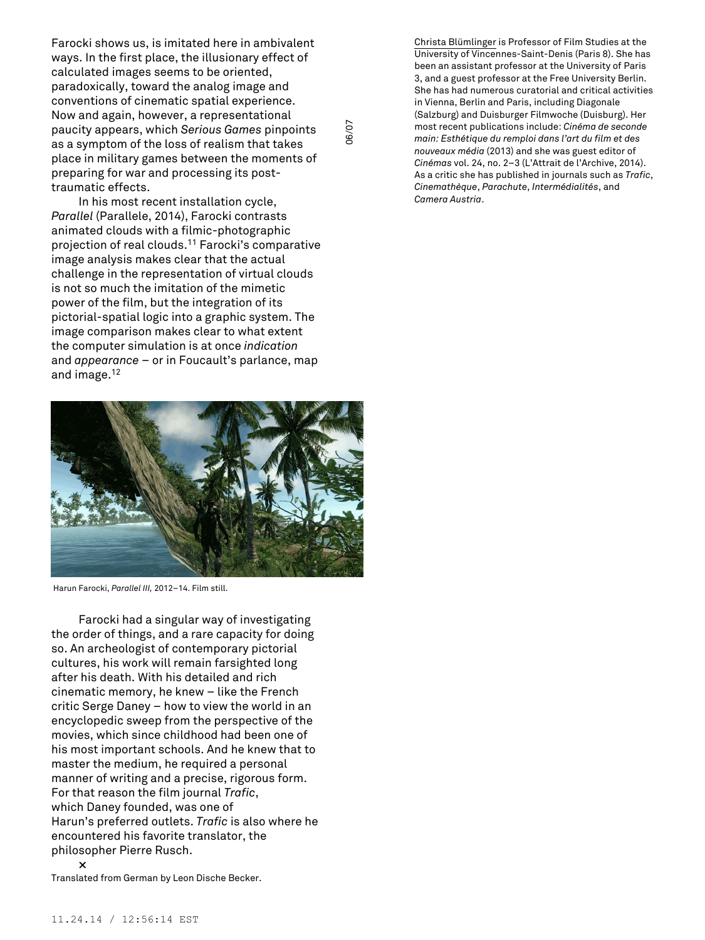Farocki shows us, is imitated here in ambivalent ways. In the first place, the illusionary effect of calculated images seems to be oriented, paradoxically, toward the analog image and conventions of cinematic spatial experience. Now and again, however, a representational paucity appears, which *Serious Games* pinpoints as a symptom of the loss of realism that takes place in military games between the moments of preparing for war and processing its posttraumatic effects.

06/07

In his most recent installation cycle, *Parallel* (Parallele, 2014), Farocki contrasts animated clouds with a filmic-photographic projection of real clouds. <sup>11</sup> Farocki's comparative image analysis makes clear that the actual challenge in the representation of virtual clouds is not so much the imitation of the mimetic power of the film, but the integration of its pictorial-spatial logic into a graphic system. The image comparison makes clear to what extent the computer simulation is at once *indication* and *appearance* – or in Foucault's parlance, map and image. 12



Harun Farocki, *Parallel III,* 2012–14. Film still.

Farocki had a singular way of investigating the order of things, and a rare capacity for doing so. An archeologist of contemporary pictorial cultures, his work will remain farsighted long after his death. With his detailed and rich cinematic memory, he knew – like the French critic Serge Daney – how to view the world in an encyclopedic sweep from the perspective of the movies, which since childhood had been one of his most important schools. And he knew that to master the medium, he required a personal manner of writing and a precise, rigorous form. For that reason the film journal *Trafic*, which Daney founded, was one of Harun's preferred outlets. *Trafic* is also where he encountered his favorite translator, the philosopher Pierre Rusch.

Christa Blümlinger is Professor of Film Studies at the University of Vincennes-Saint-Denis (Paris 8). She has been an assistant professor at the University of Paris 3, and a guest professor at the Free University Berlin. She has had numerous curatorial and critical activities in Vienna, Berlin and Paris, including Diagonale (Salzburg) and Duisburger Filmwoche (Duisburg). Her most recent publications include: *Cinéma de seconde main: Esthétique du remploi dans l'art du film et des nouveaux média* (2013) and she was guest editor of *Cinémas* vol. 24, no. 2–3 (L'Attrait de l'Archive, 2014). As a critic she has published in journals such as *Trafic*, *Cinemathèque*, *Parachute*, *Intermédialités*, and *Camera Austria*.

**<sup>×</sup>** Translated from German by Leon Dische Becker.